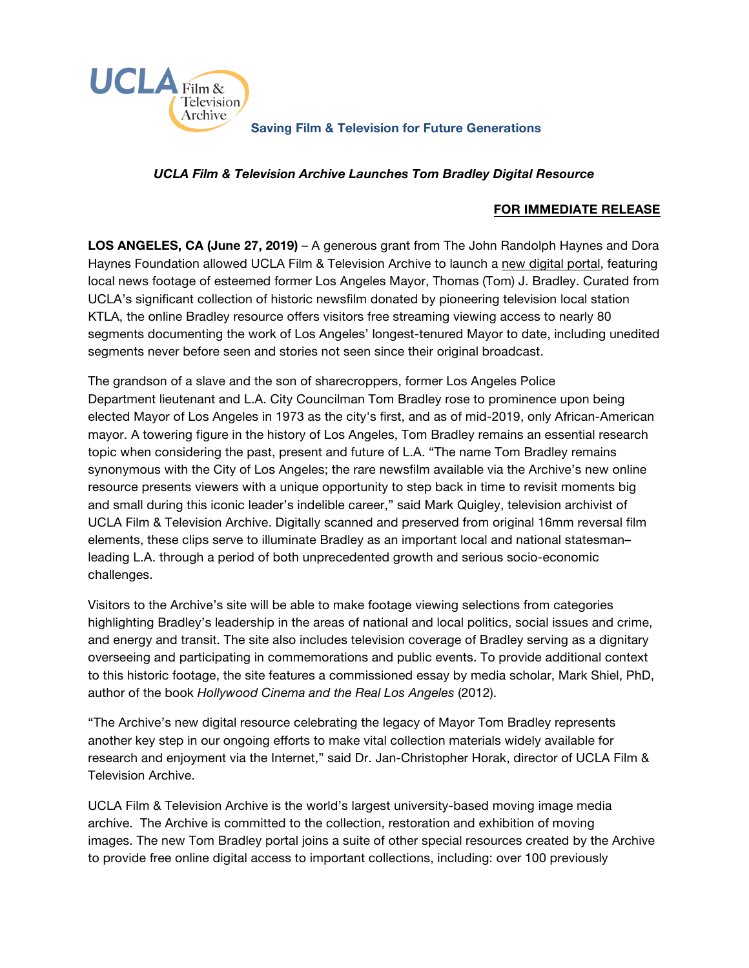

## **Saving Film & Television for Future Generations**

## *UCLA Film & Television Archive Launches Tom Bradley Digital Resource*

## **FOR IMMEDIATE RELEASE**

**LOS ANGELES, CA (June 27, 2019)** – A generous grant from The John Randolph Haynes and Dora Haynes Foundation allowed UCLA Film & Television Archive to launch a [new digital portal,](https://www.cinema.ucla.edu/collections/ktla-bradley/clips/categories) featuring local news footage of esteemed former Los Angeles Mayor, Thomas (Tom) J. Bradley. Curated from UCLA's significant collection of historic newsfilm donated by pioneering television local station KTLA, the online Bradley resource offers visitors free streaming viewing access to nearly 80 segments documenting the work of Los Angeles' longest-tenured Mayor to date, including unedited segments never before seen and stories not seen since their original broadcast.

The grandson of a slave and the son of sharecroppers, former Los Angeles Police Department lieutenant and L.A. City Councilman Tom Bradley rose to prominence upon being elected Mayor of Los Angeles in 1973 as the city's first, and as of mid-2019, only African-American mayor. A towering figure in the history of Los Angeles, Tom Bradley remains an essential research topic when considering the past, present and future of L.A. "The name Tom Bradley remains synonymous with the City of Los Angeles; the rare newsfilm available via the Archive's new online resource presents viewers with a unique opportunity to step back in time to revisit moments big and small during this iconic leader's indelible career," said Mark Quigley, television archivist of UCLA Film & Television Archive. Digitally scanned and preserved from original 16mm reversal film elements, these clips serve to illuminate Bradley as an important local and national statesman– leading L.A. through a period of both unprecedented growth and serious socio-economic challenges.

Visitors to the Archive's site will be able to make footage viewing selections from categories highlighting Bradley's leadership in the areas of national and local politics, social issues and crime, and energy and transit. The site also includes television coverage of Bradley serving as a dignitary overseeing and participating in commemorations and public events. To provide additional context to this historic footage, the site features a commissioned essay by media scholar, Mark Shiel, PhD, author of the book *Hollywood Cinema and the Real Los Angeles* (2012).

"The Archive's new digital resource celebrating the legacy of Mayor Tom Bradley represents another key step in our ongoing efforts to make vital collection materials widely available for research and enjoyment via the Internet," said Dr. Jan-Christopher Horak, director of UCLA Film & Television Archive.

UCLA Film & Television Archive is the world's largest university-based moving image media archive. The Archive is committed to the collection, restoration and exhibition of moving images. The new Tom Bradley portal joins a suite of other special resources created by the Archive to provide free online digital access to important collections, including: over 100 previously